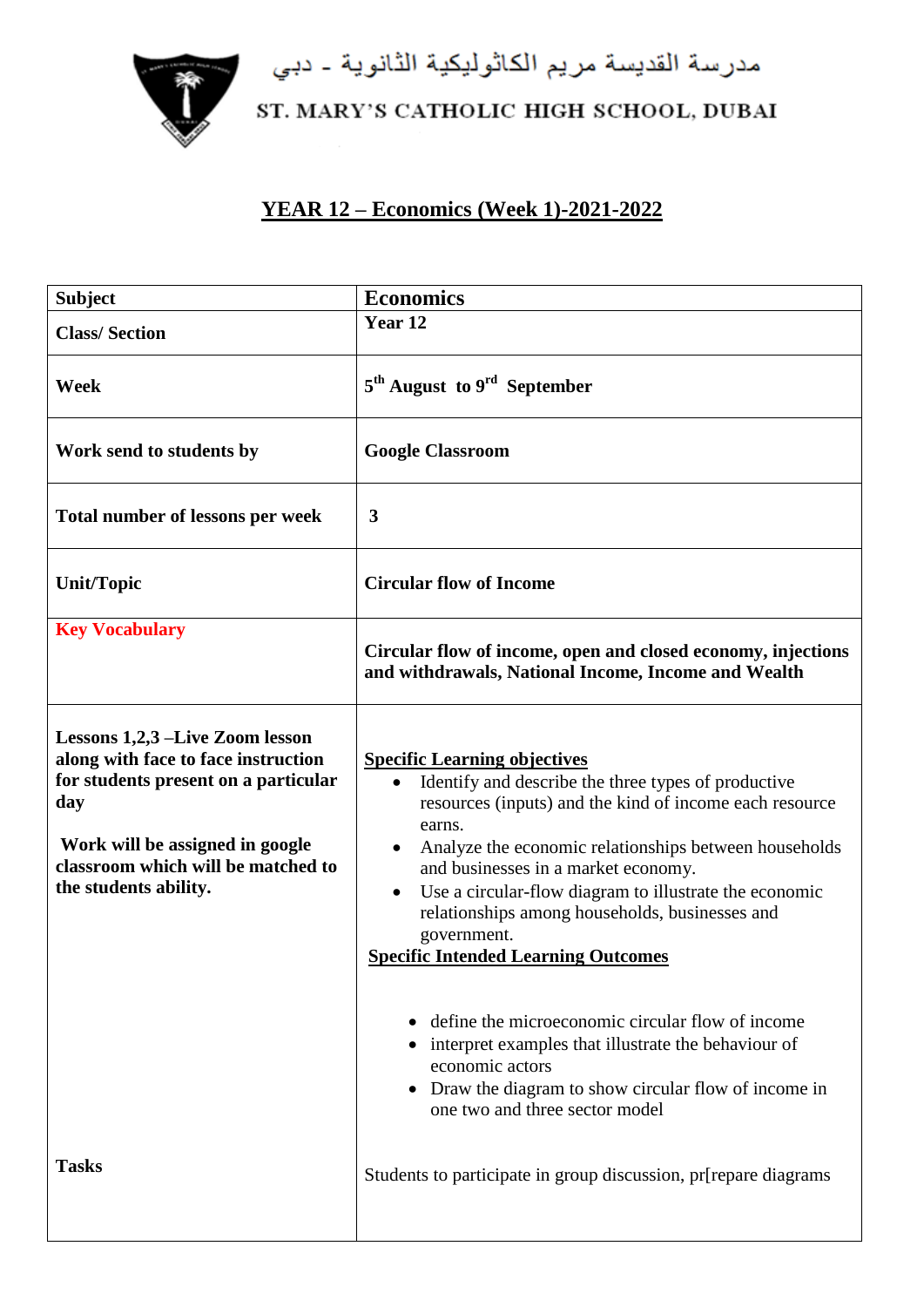

مدرسة القديسة مريم الكاثوليكية الثانوية - دبي<br>ST. MARY'S CATHOLIC HIGH SCHOOL, DUBAI

## **YEAR 12 – Economics (Week 1)-2021-2022**

| <b>Subject</b>                                                                                                                                                                                                          | <b>Economics</b>                                                                                                                                                                                                                                                                                                                                                                                                                         |
|-------------------------------------------------------------------------------------------------------------------------------------------------------------------------------------------------------------------------|------------------------------------------------------------------------------------------------------------------------------------------------------------------------------------------------------------------------------------------------------------------------------------------------------------------------------------------------------------------------------------------------------------------------------------------|
| <b>Class/Section</b>                                                                                                                                                                                                    | Year 12                                                                                                                                                                                                                                                                                                                                                                                                                                  |
| Week                                                                                                                                                                                                                    | 5 <sup>th</sup> August to 9 <sup>rd</sup> September                                                                                                                                                                                                                                                                                                                                                                                      |
| Work send to students by                                                                                                                                                                                                | <b>Google Classroom</b>                                                                                                                                                                                                                                                                                                                                                                                                                  |
| Total number of lessons per week                                                                                                                                                                                        | 3                                                                                                                                                                                                                                                                                                                                                                                                                                        |
| <b>Unit/Topic</b>                                                                                                                                                                                                       | <b>Circular flow of Income</b>                                                                                                                                                                                                                                                                                                                                                                                                           |
| <b>Key Vocabulary</b>                                                                                                                                                                                                   | Circular flow of income, open and closed economy, injections<br>and withdrawals, National Income, Income and Wealth                                                                                                                                                                                                                                                                                                                      |
| Lessons 1,2,3 –Live Zoom lesson<br>along with face to face instruction<br>for students present on a particular<br>day<br>Work will be assigned in google<br>classroom which will be matched to<br>the students ability. | <b>Specific Learning objectives</b><br>Identify and describe the three types of productive<br>resources (inputs) and the kind of income each resource<br>earns.<br>Analyze the economic relationships between households<br>and businesses in a market economy.<br>Use a circular-flow diagram to illustrate the economic<br>relationships among households, businesses and<br>government.<br><b>Specific Intended Learning Outcomes</b> |
|                                                                                                                                                                                                                         | define the microeconomic circular flow of income<br>interpret examples that illustrate the behaviour of<br>economic actors<br>Draw the diagram to show circular flow of income in<br>one two and three sector model                                                                                                                                                                                                                      |
| <b>Tasks</b>                                                                                                                                                                                                            | Students to participate in group discussion, pr[repare diagrams                                                                                                                                                                                                                                                                                                                                                                          |